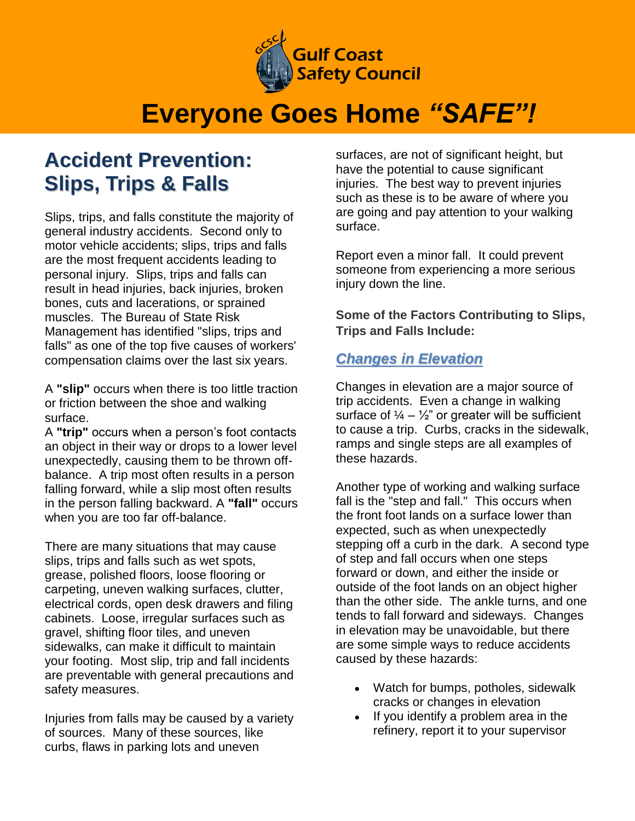

# **Everyone Goes Home** *"SAFE"!*

### **Accident Prevention: Slips, Trips & Falls**

Slips, trips, and falls constitute the majority of general industry accidents. Second only to motor vehicle accidents; slips, trips and falls are the most frequent accidents leading to personal injury. Slips, trips and falls can result in head injuries, back injuries, broken bones, cuts and lacerations, or sprained muscles. The Bureau of State Risk Management has identified "slips, trips and falls" as one of the top five causes of workers' compensation claims over the last six years.

A **"slip"** occurs when there is too little traction or friction between the shoe and walking surface.

A **"trip"** occurs when a person's foot contacts an object in their way or drops to a lower level unexpectedly, causing them to be thrown offbalance. A trip most often results in a person falling forward, while a slip most often results in the person falling backward. A **"fall"** occurs when you are too far off-balance.

There are many situations that may cause slips, trips and falls such as wet spots, grease, polished floors, loose flooring or carpeting, uneven walking surfaces, clutter, electrical cords, open desk drawers and filing cabinets. Loose, irregular surfaces such as gravel, shifting floor tiles, and uneven sidewalks, can make it difficult to maintain your footing. Most slip, trip and fall incidents are preventable with general precautions and safety measures.

Injuries from falls may be caused by a variety of sources. Many of these sources, like curbs, flaws in parking lots and uneven

surfaces, are not of significant height, but have the potential to cause significant injuries. The best way to prevent injuries such as these is to be aware of where you are going and pay attention to your walking surface.

Report even a minor fall. It could prevent someone from experiencing a more serious injury down the line.

**Some of the Factors Contributing to Slips, Trips and Falls Include:**

### *Changes in Elevation*

Changes in elevation are a major source of trip accidents. Even a change in walking surface of  $\frac{1}{4} - \frac{1}{2}$ " or greater will be sufficient to cause a trip. Curbs, cracks in the sidewalk, ramps and single steps are all examples of these hazards.

Another type of working and walking surface fall is the "step and fall." This occurs when the front foot lands on a surface lower than expected, such as when unexpectedly stepping off a curb in the dark. A second type of step and fall occurs when one steps forward or down, and either the inside or outside of the foot lands on an object higher than the other side. The ankle turns, and one tends to fall forward and sideways. Changes in elevation may be unavoidable, but there are some simple ways to reduce accidents caused by these hazards:

- Watch for bumps, potholes, sidewalk cracks or changes in elevation
- If you identify a problem area in the refinery, report it to your supervisor